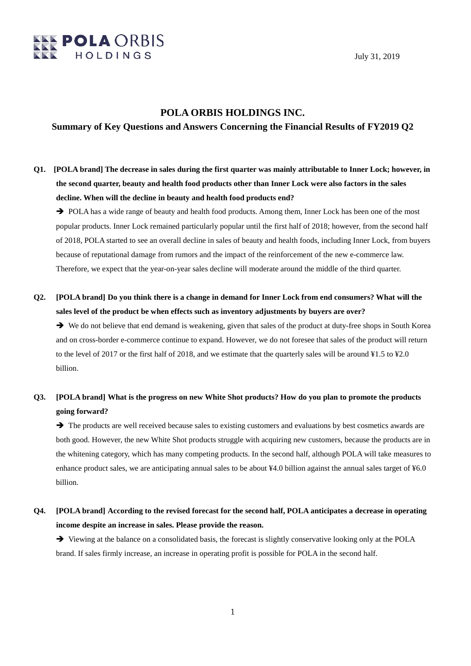

July 31, 2019

### **POLA ORBIS HOLDINGS INC.**

#### **Summary of Key Questions and Answers Concerning the Financial Results of FY2019 Q2**

# **Q1. [POLA brand] The decrease in sales during the first quarter was mainly attributable to Inner Lock; however, in the second quarter, beauty and health food products other than Inner Lock were also factors in the sales decline. When will the decline in beauty and health food products end?**

→ POLA has a wide range of beauty and health food products. Among them, Inner Lock has been one of the most popular products. Inner Lock remained particularly popular until the first half of 2018; however, from the second half of 2018, POLA started to see an overall decline in sales of beauty and health foods, including Inner Lock, from buyers because of reputational damage from rumors and the impact of the reinforcement of the new e-commerce law. Therefore, we expect that the year-on-year sales decline will moderate around the middle of the third quarter.

## **Q2. [POLA brand] Do you think there is a change in demand for Inner Lock from end consumers? What will the sales level of the product be when effects such as inventory adjustments by buyers are over?**

We do not believe that end demand is weakening, given that sales of the product at duty-free shops in South Korea and on cross-border e-commerce continue to expand. However, we do not foresee that sales of the product will return to the level of 2017 or the first half of 2018, and we estimate that the quarterly sales will be around ¥1.5 to ¥2.0 billion.

### **Q3. [POLA brand] What is the progress on new White Shot products? How do you plan to promote the products going forward?**

 $\rightarrow$  The products are well received because sales to existing customers and evaluations by best cosmetics awards are both good. However, the new White Shot products struggle with acquiring new customers, because the products are in the whitening category, which has many competing products. In the second half, although POLA will take measures to enhance product sales, we are anticipating annual sales to be about ¥4.0 billion against the annual sales target of ¥6.0 billion.

### **Q4. [POLA brand] According to the revised forecast for the second half, POLA anticipates a decrease in operating income despite an increase in sales. Please provide the reason.**

 Viewing at the balance on a consolidated basis, the forecast is slightly conservative looking only at the POLA brand. If sales firmly increase, an increase in operating profit is possible for POLA in the second half.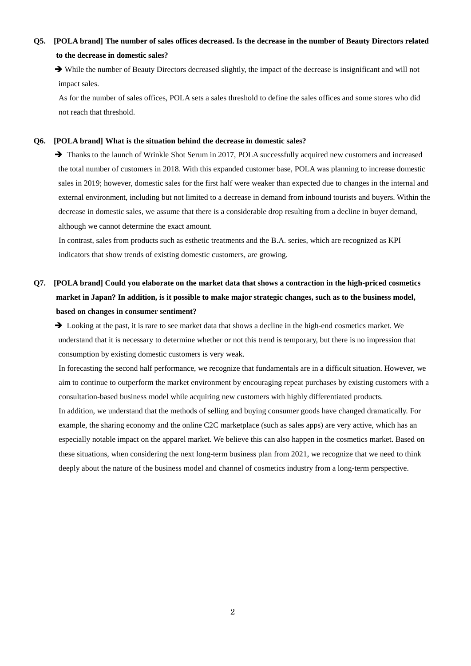# **Q5. [POLA brand] The number of sales offices decreased. Is the decrease in the number of Beauty Directors related to the decrease in domestic sales?**

 While the number of Beauty Directors decreased slightly, the impact of the decrease is insignificant and will not impact sales.

As for the number of sales offices, POLA sets a sales threshold to define the sales offices and some stores who did not reach that threshold.

#### **Q6. [POLA brand] What is the situation behind the decrease in domestic sales?**

 $\rightarrow$  Thanks to the launch of Wrinkle Shot Serum in 2017, POLA successfully acquired new customers and increased the total number of customers in 2018. With this expanded customer base, POLA was planning to increase domestic sales in 2019; however, domestic sales for the first half were weaker than expected due to changes in the internal and external environment, including but not limited to a decrease in demand from inbound tourists and buyers. Within the decrease in domestic sales, we assume that there is a considerable drop resulting from a decline in buyer demand, although we cannot determine the exact amount.

In contrast, sales from products such as esthetic treatments and the B.A. series, which are recognized as KPI indicators that show trends of existing domestic customers, are growing.

# **Q7. [POLA brand] Could you elaborate on the market data that shows a contraction in the high-priced cosmetics market in Japan? In addition, is it possible to make major strategic changes, such as to the business model, based on changes in consumer sentiment?**

 $\rightarrow$  Looking at the past, it is rare to see market data that shows a decline in the high-end cosmetics market. We understand that it is necessary to determine whether or not this trend is temporary, but there is no impression that consumption by existing domestic customers is very weak.

In forecasting the second half performance, we recognize that fundamentals are in a difficult situation. However, we aim to continue to outperform the market environment by encouraging repeat purchases by existing customers with a consultation-based business model while acquiring new customers with highly differentiated products.

In addition, we understand that the methods of selling and buying consumer goods have changed dramatically. For example, the sharing economy and the online C2C marketplace (such as sales apps) are very active, which has an especially notable impact on the apparel market. We believe this can also happen in the cosmetics market. Based on these situations, when considering the next long-term business plan from 2021, we recognize that we need to think deeply about the nature of the business model and channel of cosmetics industry from a long-term perspective.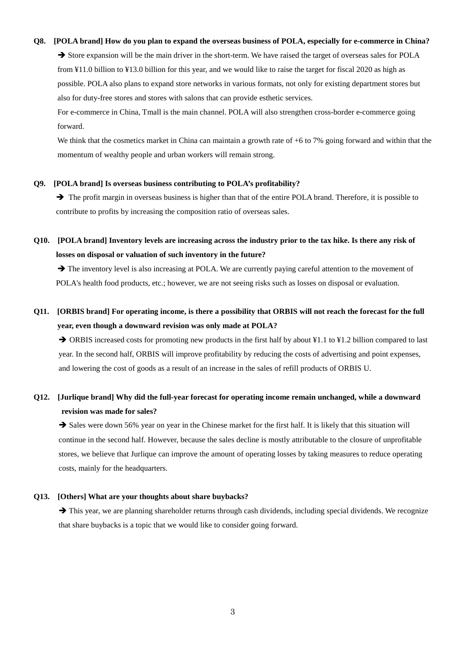#### **Q8. [POLA brand] How do you plan to expand the overseas business of POLA, especially for e-commerce in China?**

Store expansion will be the main driver in the short-term. We have raised the target of overseas sales for POLA from ¥11.0 billion to ¥13.0 billion for this year, and we would like to raise the target for fiscal 2020 as high as possible. POLA also plans to expand store networks in various formats, not only for existing department stores but also for duty-free stores and stores with salons that can provide esthetic services.

For e-commerce in China, Tmall is the main channel. POLA will also strengthen cross-border e-commerce going forward.

We think that the cosmetics market in China can maintain a growth rate of  $+6$  to 7% going forward and within that the momentum of wealthy people and urban workers will remain strong.

#### **Q9. [POLA brand] Is overseas business contributing to POLA's profitability?**

 $\rightarrow$  The profit margin in overseas business is higher than that of the entire POLA brand. Therefore, it is possible to contribute to profits by increasing the composition ratio of overseas sales.

## **Q10. [POLA brand] Inventory levels are increasing across the industry prior to the tax hike. Is there any risk of losses on disposal or valuation of such inventory in the future?**

 $\rightarrow$  The inventory level is also increasing at POLA. We are currently paying careful attention to the movement of POLA's health food products, etc.; however, we are not seeing risks such as losses on disposal or evaluation.

## **Q11. [ORBIS brand] For operating income, is there a possibility that ORBIS will not reach the forecast for the full year, even though a downward revision was only made at POLA?**

→ ORBIS increased costs for promoting new products in the first half by about ¥1.1 to ¥1.2 billion compared to last year. In the second half, ORBIS will improve profitability by reducing the costs of advertising and point expenses, and lowering the cost of goods as a result of an increase in the sales of refill products of ORBIS U.

### **Q12. [Jurlique brand] Why did the full-year forecast for operating income remain unchanged, while a downward revision was made for sales?**

Sales were down 56% year on year in the Chinese market for the first half. It is likely that this situation will continue in the second half. However, because the sales decline is mostly attributable to the closure of unprofitable stores, we believe that Jurlique can improve the amount of operating losses by taking measures to reduce operating costs, mainly for the headquarters.

#### **Q13. [Others] What are your thoughts about share buybacks?**

 $\rightarrow$  This year, we are planning shareholder returns through cash dividends, including special dividends. We recognize that share buybacks is a topic that we would like to consider going forward.